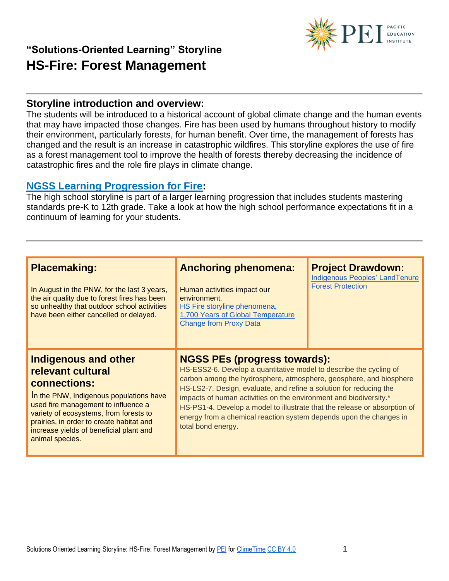

#### **Storyline introduction and overview:**

The students will be introduced to a historical account of global climate change and the human events that may have impacted those changes. Fire has been used by humans throughout history to modify their environment, particularly forests, for human benefit. Over time, the management of forests has changed and the result is an increase in catastrophic wildfires. This storyline explores the use of fire as a forest management tool to improve the health of forests thereby decreasing the incidence of catastrophic fires and the role fire plays in climate change.

#### **[NGSS Learning Progression for Fire:](https://pacificeductioninstitute.sharepoint.com/:x:/s/Program/EWV7knBQkgtOsiWnuNOPC-IBdShSwrtE43e4hUTSKn_K2g?e=LkFdwy)**

The high school storyline is part of a larger learning progression that includes students mastering standards pre-K to 12th grade. Take a look at how the high school performance expectations fit in a continuum of learning for your students.

| <b>Placemaking:</b><br>In August in the PNW, for the last 3 years,<br>the air quality due to forest fires has been<br>so unhealthy that outdoor school activities<br>have been either cancelled or delayed.                                                                                     | <b>Anchoring phenomena:</b><br>Human activities impact our<br>environment.<br>HS Fire storyline phenomena,<br>1,700 Years of Global Temperature<br><b>Change from Proxy Data</b>                                                                                                                                                                                                                                                                                                                    | <b>Project Drawdown:</b><br><b>Indigenous Peoples' LandTenure</b><br><b>Forest Protection</b> |
|-------------------------------------------------------------------------------------------------------------------------------------------------------------------------------------------------------------------------------------------------------------------------------------------------|-----------------------------------------------------------------------------------------------------------------------------------------------------------------------------------------------------------------------------------------------------------------------------------------------------------------------------------------------------------------------------------------------------------------------------------------------------------------------------------------------------|-----------------------------------------------------------------------------------------------|
| Indigenous and other<br>relevant cultural<br>connections:<br>In the PNW, Indigenous populations have<br>used fire management to influence a<br>variety of ecosystems, from forests to<br>prairies, in order to create habitat and<br>increase yields of beneficial plant and<br>animal species. | <b>NGSS PEs (progress towards):</b><br>HS-ESS2-6. Develop a quantitative model to describe the cycling of<br>carbon among the hydrosphere, atmosphere, geosphere, and biosphere<br>HS-LS2-7. Design, evaluate, and refine a solution for reducing the<br>impacts of human activities on the environment and biodiversity.*<br>HS-PS1-4. Develop a model to illustrate that the release or absorption of<br>energy from a chemical reaction system depends upon the changes in<br>total bond energy. |                                                                                               |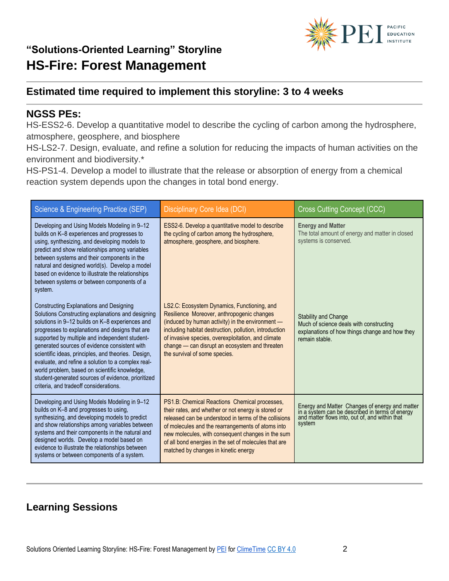

### **Estimated time required to implement this storyline: 3 to 4 weeks**

#### **NGSS PEs:**

HS-ESS2-6. Develop a quantitative model to describe the cycling of carbon among the hydrosphere, atmosphere, geosphere, and biosphere

HS-LS2-7. Design, evaluate, and refine a solution for reducing the impacts of human activities on the environment and biodiversity.\*

HS-PS1-4. Develop a model to illustrate that the release or absorption of energy from a chemical reaction system depends upon the changes in total bond energy.

| Science & Engineering Practice (SEP)                                                                                                                                                                                                                                                                                                                                                                                                                                                                                                                                | Disciplinary Core Idea (DCI)                                                                                                                                                                                                                                                                                                                                             | <b>Cross Cutting Concept (CCC)</b>                                                                                                                            |
|---------------------------------------------------------------------------------------------------------------------------------------------------------------------------------------------------------------------------------------------------------------------------------------------------------------------------------------------------------------------------------------------------------------------------------------------------------------------------------------------------------------------------------------------------------------------|--------------------------------------------------------------------------------------------------------------------------------------------------------------------------------------------------------------------------------------------------------------------------------------------------------------------------------------------------------------------------|---------------------------------------------------------------------------------------------------------------------------------------------------------------|
| Developing and Using Models Modeling in 9-12<br>builds on K-8 experiences and progresses to<br>using, synthesizing, and developing models to<br>predict and show relationships among variables<br>between systems and their components in the<br>natural and designed world(s). Develop a model<br>based on evidence to illustrate the relationships<br>between systems or between components of a<br>system.                                                                                                                                                       | ESS2-6. Develop a quantitative model to describe<br>the cycling of carbon among the hydrosphere,<br>atmosphere, geosphere, and biosphere.                                                                                                                                                                                                                                | <b>Energy and Matter</b><br>The total amount of energy and matter in closed<br>systems is conserved.                                                          |
| Constructing Explanations and Designing<br>Solutions Constructing explanations and designing<br>solutions in 9-12 builds on K-8 experiences and<br>progresses to explanations and designs that are<br>supported by multiple and independent student-<br>generated sources of evidence consistent with<br>scientific ideas, principles, and theories. Design,<br>evaluate, and refine a solution to a complex real-<br>world problem, based on scientific knowledge,<br>student-generated sources of evidence, prioritized<br>criteria, and tradeoff considerations. | LS2.C: Ecosystem Dynamics, Functioning, and<br>Resilience Moreover, anthropogenic changes<br>(induced by human activity) in the environment -<br>including habitat destruction, pollution, introduction<br>of invasive species, overexploitation, and climate<br>change - can disrupt an ecosystem and threaten<br>the survival of some species.                         | <b>Stability and Change</b><br>Much of science deals with constructing<br>explanations of how things change and how they<br>remain stable.                    |
| Developing and Using Models Modeling in 9-12<br>builds on K-8 and progresses to using,<br>synthesizing, and developing models to predict<br>and show relationships among variables between<br>systems and their components in the natural and<br>designed worlds. Develop a model based on<br>evidence to illustrate the relationships between<br>systems or between components of a system.                                                                                                                                                                        | PS1.B: Chemical Reactions Chemical processes,<br>their rates, and whether or not energy is stored or<br>released can be understood in terms of the collisions<br>of molecules and the rearrangements of atoms into<br>new molecules, with consequent changes in the sum<br>of all bond energies in the set of molecules that are<br>matched by changes in kinetic energy | Energy and Matter Changes of energy and matter<br>in a system can be described in terms of energy<br>and matter flows into, out of, and within that<br>system |

### **Learning Sessions**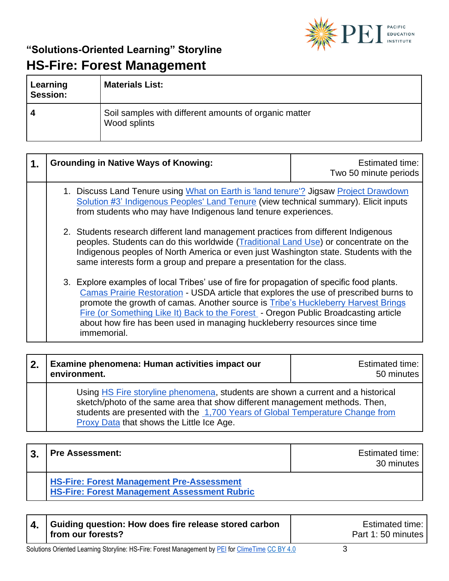

| Learning<br><b>Session:</b> | <b>Materials List:</b>                                                |
|-----------------------------|-----------------------------------------------------------------------|
|                             | Soil samples with different amounts of organic matter<br>Wood splints |

| 1. | <b>Grounding in Native Ways of Knowing:</b>                                                                                                                                                                                                                                                                                                                                                                                                                | Estimated time:<br>Two 50 minute periods |
|----|------------------------------------------------------------------------------------------------------------------------------------------------------------------------------------------------------------------------------------------------------------------------------------------------------------------------------------------------------------------------------------------------------------------------------------------------------------|------------------------------------------|
|    | 1. Discuss Land Tenure using What on Earth is 'land tenure'? Jigsaw Project Drawdown<br>Solution #3' Indigenous Peoples' Land Tenure (view technical summary). Elicit inputs<br>from students who may have Indigenous land tenure experiences.                                                                                                                                                                                                             |                                          |
|    | 2. Students research different land management practices from different Indigenous<br>peoples. Students can do this worldwide (Traditional Land Use) or concentrate on the<br>Indigenous peoples of North America or even just Washington state. Students with the<br>same interests form a group and prepare a presentation for the class.                                                                                                                |                                          |
|    | 3. Explore examples of local Tribes' use of fire for propagation of specific food plants.<br>Camas Prairie Restoration - USDA article that explores the use of prescribed burns to<br>promote the growth of camas. Another source is Tribe's Huckleberry Harvest Brings<br>Fire (or Something Like It) Back to the Forest - Oregon Public Broadcasting article<br>about how fire has been used in managing huckleberry resources since time<br>immemorial. |                                          |

| 2. | Examine phenomena: Human activities impact our<br>environment.                                                                                                                                                                                                                                | Estimated time:<br>50 minutes |
|----|-----------------------------------------------------------------------------------------------------------------------------------------------------------------------------------------------------------------------------------------------------------------------------------------------|-------------------------------|
|    | Using HS Fire storyline phenomena, students are shown a current and a historical<br>sketch/photo of the same area that show different management methods. Then,<br>students are presented with the 1,700 Years of Global Temperature Change from<br>Proxy Data that shows the Little Ice Age. |                               |

| 3 | <b>Pre Assessment:</b>                                                                                  | <b>Estimated time:</b><br>30 minutes |
|---|---------------------------------------------------------------------------------------------------------|--------------------------------------|
|   | <b>HS-Fire: Forest Management Pre-Assessment</b><br><b>HS-Fire: Forest Management Assessment Rubric</b> |                                      |

| Guiding question: How does fire release stored carbon | <b>Estimated time:</b> |
|-------------------------------------------------------|------------------------|
| from our forests?                                     | Part 1:50 minutes      |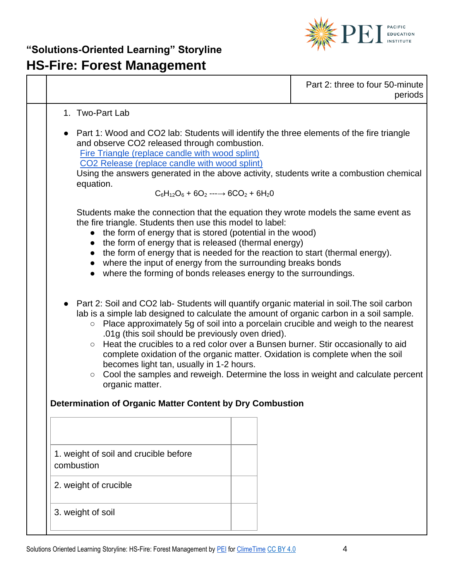

|                                                                                                                                                                                                                                                                                                                                                                                                                                                                                                                                                                                                                                                                                                                                                           | Part 2: three to four 50-minute<br>periods |
|-----------------------------------------------------------------------------------------------------------------------------------------------------------------------------------------------------------------------------------------------------------------------------------------------------------------------------------------------------------------------------------------------------------------------------------------------------------------------------------------------------------------------------------------------------------------------------------------------------------------------------------------------------------------------------------------------------------------------------------------------------------|--------------------------------------------|
| 1. Two-Part Lab<br>Part 1: Wood and CO2 lab: Students will identify the three elements of the fire triangle<br>and observe CO2 released through combustion.<br>Fire Triangle (replace candle with wood splint)<br>CO2 Release (replace candle with wood splint)                                                                                                                                                                                                                                                                                                                                                                                                                                                                                           |                                            |
| Using the answers generated in the above activity, students write a combustion chemical<br>equation.<br>$C_6H_{12}O_6 + 6O_2 \longrightarrow 6CO_2 + 6H_2O$                                                                                                                                                                                                                                                                                                                                                                                                                                                                                                                                                                                               |                                            |
| Students make the connection that the equation they wrote models the same event as<br>the fire triangle. Students then use this model to label:<br>the form of energy that is stored (potential in the wood)<br>the form of energy that is released (thermal energy)<br>the form of energy that is needed for the reaction to start (thermal energy).<br>$\bullet$<br>where the input of energy from the surrounding breaks bonds<br>where the forming of bonds releases energy to the surroundings.                                                                                                                                                                                                                                                      |                                            |
| Part 2: Soil and CO2 lab- Students will quantify organic material in soil. The soil carbon<br>lab is a simple lab designed to calculate the amount of organic carbon in a soil sample.<br>Place approximately 5g of soil into a porcelain crucible and weigh to the nearest<br>$\circ$<br>.01g (this soil should be previously oven dried).<br>Heat the crucibles to a red color over a Bunsen burner. Stir occasionally to aid<br>$\circ$<br>complete oxidation of the organic matter. Oxidation is complete when the soil<br>becomes light tan, usually in 1-2 hours.<br>Cool the samples and reweigh. Determine the loss in weight and calculate percent<br>$\bigcirc$<br>organic matter.<br>Determination of Organic Matter Content by Dry Combustion |                                            |
|                                                                                                                                                                                                                                                                                                                                                                                                                                                                                                                                                                                                                                                                                                                                                           |                                            |
| 1. weight of soil and crucible before<br>combustion                                                                                                                                                                                                                                                                                                                                                                                                                                                                                                                                                                                                                                                                                                       |                                            |
| 2. weight of crucible                                                                                                                                                                                                                                                                                                                                                                                                                                                                                                                                                                                                                                                                                                                                     |                                            |
| 3. weight of soil                                                                                                                                                                                                                                                                                                                                                                                                                                                                                                                                                                                                                                                                                                                                         |                                            |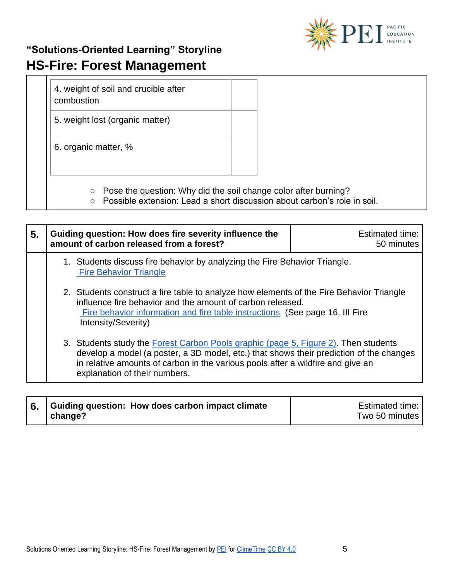

4. weight of soil and crucible after combustion

5. weight lost (organic matter)

6. organic matter, %

- Pose the question: Why did the soil change color after burning?
- Possible extension: Lead a short discussion about carbon's role in soil.

| 5. |                                                                                                                                                                                                                                                               | Guiding question: How does fire severity influence the<br>amount of carbon released from a forest?                                                                                                                                                                                                 | <b>Estimated time:</b><br>50 minutes |
|----|---------------------------------------------------------------------------------------------------------------------------------------------------------------------------------------------------------------------------------------------------------------|----------------------------------------------------------------------------------------------------------------------------------------------------------------------------------------------------------------------------------------------------------------------------------------------------|--------------------------------------|
|    |                                                                                                                                                                                                                                                               | 1. Students discuss fire behavior by analyzing the Fire Behavior Triangle.<br><b>Fire Behavior Triangle</b>                                                                                                                                                                                        |                                      |
|    | 2. Students construct a fire table to analyze how elements of the Fire Behavior Triangle<br>influence fire behavior and the amount of carbon released.<br>Fire behavior information and fire table instructions (See page 16, III Fire<br>Intensity/Severity) |                                                                                                                                                                                                                                                                                                    |                                      |
|    |                                                                                                                                                                                                                                                               | 3. Students study the Forest Carbon Pools graphic (page 5, Figure 2). Then students<br>develop a model (a poster, a 3D model, etc.) that shows their prediction of the changes<br>in relative amounts of carbon in the various pools after a wildfire and give an<br>explanation of their numbers. |                                      |

| 6. Guiding question: How does carbon impact climate | Estimated time: |
|-----------------------------------------------------|-----------------|
| change?                                             | Two 50 minutes  |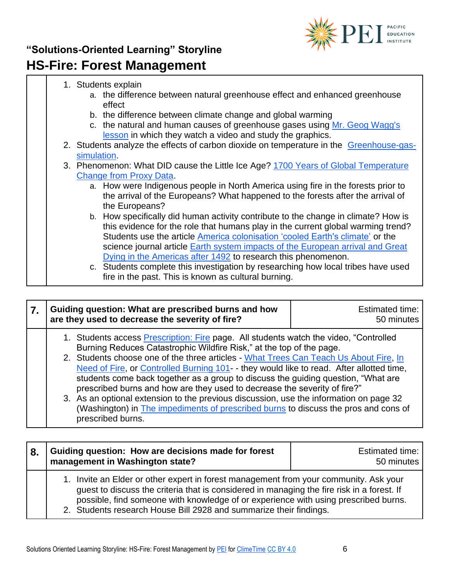

| 1. Students explain                                                                     |
|-----------------------------------------------------------------------------------------|
| a. the difference between natural greenhouse effect and enhanced greenhouse             |
| effect                                                                                  |
| b. the difference between climate change and global warming                             |
| c. the natural and human causes of greenhouse gases using Mr. Geog Wagg's               |
| lesson in which they watch a video and study the graphics.                              |
| 2. Students analyze the effects of carbon dioxide on temperature in the Greenhouse-gas- |
| simulation.                                                                             |
| 3. Phenomenon: What DID cause the Little Ice Age? 1700 Years of Global Temperature      |
| <b>Change from Proxy Data.</b>                                                          |
| a. How were Indigenous people in North America using fire in the forests prior to       |
| the arrival of the Europeans? What happened to the forests after the arrival of         |
| the Europeans?                                                                          |
| b. How specifically did human activity contribute to the change in climate? How is      |
| this evidence for the role that humans play in the current global warming trend?        |
| Students use the article America colonisation 'cooled Earth's climate' or the           |
| science journal article Earth system impacts of the European arrival and Great          |
| Dying in the Americas after 1492 to research this phenomenon.                           |
| c. Students complete this investigation by researching how local tribes have used       |
| fire in the past. This is known as cultural burning.                                    |

| Guiding question: What are prescribed burns and how<br>are they used to decrease the severity of fire?                                                                                                                                                                                                                                                                                                                                                                                                                                                                                                                                                                                                                           | <b>Estimated time:</b><br>50 minutes |
|----------------------------------------------------------------------------------------------------------------------------------------------------------------------------------------------------------------------------------------------------------------------------------------------------------------------------------------------------------------------------------------------------------------------------------------------------------------------------------------------------------------------------------------------------------------------------------------------------------------------------------------------------------------------------------------------------------------------------------|--------------------------------------|
| 1. Students access <b>Prescription: Fire page.</b> All students watch the video, "Controlled<br>Burning Reduces Catastrophic Wildfire Risk," at the top of the page.<br>2. Students choose one of the three articles - What Trees Can Teach Us About Fire, In<br>Need of Fire, or Controlled Burning 101 - they would like to read. After allotted time,<br>students come back together as a group to discuss the guiding question, "What are<br>prescribed burns and how are they used to decrease the severity of fire?"<br>3. As an optional extension to the previous discussion, use the information on page 32<br>(Washington) in The impediments of prescribed burns to discuss the pros and cons of<br>prescribed burns. |                                      |

| 8. | Guiding question: How are decisions made for forest<br>management in Washington state?                                                                                                                                                                                                                                                           | <b>Estimated time:</b><br>50 minutes |
|----|--------------------------------------------------------------------------------------------------------------------------------------------------------------------------------------------------------------------------------------------------------------------------------------------------------------------------------------------------|--------------------------------------|
|    | 1. Invite an Elder or other expert in forest management from your community. Ask your<br>guest to discuss the criteria that is considered in managing the fire risk in a forest. If<br>possible, find someone with knowledge of or experience with using prescribed burns.<br>2. Students research House Bill 2928 and summarize their findings. |                                      |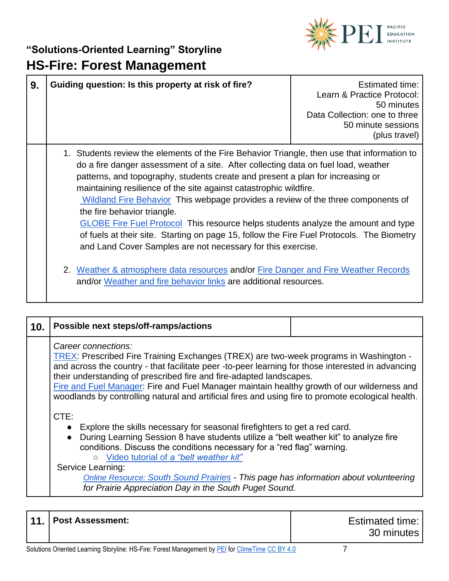

| 9. | Guiding question: Is this property at risk of fire?                                                                                                                                                                                                                                                                                                                                                                                                                                                                                                                                                                                                                                                                 | Estimated time:<br>Learn & Practice Protocol:<br>50 minutes<br>Data Collection: one to three<br>50 minute sessions<br>(plus travel) |
|----|---------------------------------------------------------------------------------------------------------------------------------------------------------------------------------------------------------------------------------------------------------------------------------------------------------------------------------------------------------------------------------------------------------------------------------------------------------------------------------------------------------------------------------------------------------------------------------------------------------------------------------------------------------------------------------------------------------------------|-------------------------------------------------------------------------------------------------------------------------------------|
|    | 1. Students review the elements of the Fire Behavior Triangle, then use that information to<br>do a fire danger assessment of a site. After collecting data on fuel load, weather<br>patterns, and topography, students create and present a plan for increasing or<br>maintaining resilience of the site against catastrophic wildfire.<br>Wildland Fire Behavior This webpage provides a review of the three components of<br>the fire behavior triangle.<br><b>GLOBE Fire Fuel Protocol</b> This resource helps students analyze the amount and type<br>of fuels at their site. Starting on page 15, follow the Fire Fuel Protocols. The Biometry<br>and Land Cover Samples are not necessary for this exercise. |                                                                                                                                     |
|    | 2. Weather & atmosphere data resources and/or Fire Danger and Fire Weather Records<br>and/or Weather and fire behavior links are additional resources.                                                                                                                                                                                                                                                                                                                                                                                                                                                                                                                                                              |                                                                                                                                     |

| 10. | Possible next steps/off-ramps/actions                                                                                                                                                                                                                                                                                                                                                                                                                                                        |  |  |
|-----|----------------------------------------------------------------------------------------------------------------------------------------------------------------------------------------------------------------------------------------------------------------------------------------------------------------------------------------------------------------------------------------------------------------------------------------------------------------------------------------------|--|--|
|     | Career connections:<br>TREX: Prescribed Fire Training Exchanges (TREX) are two-week programs in Washington -<br>and across the country - that facilitate peer -to-peer learning for those interested in advancing<br>their understanding of prescribed fire and fire-adapted landscapes.<br>Fire and Fuel Manager: Fire and Fuel Manager maintain healthy growth of our wilderness and<br>woodlands by controlling natural and artificial fires and using fire to promote ecological health. |  |  |
|     | CTE:<br>Explore the skills necessary for seasonal firefighters to get a red card.<br>During Learning Session 8 have students utilize a "belt weather kit" to analyze fire<br>conditions. Discuss the conditions necessary for a "red flag" warning.<br>Video tutorial of a "belt weather kit"<br>$\circ$                                                                                                                                                                                     |  |  |
|     | Service Learning:<br><b>Online Resource: South Sound Prairies - This page has information about volunteering</b><br>for Prairie Appreciation Day in the South Puget Sound.                                                                                                                                                                                                                                                                                                                   |  |  |

|  |  | ' 11.   Post Assessment: | <b>Estimated time:</b><br>30 minutes |
|--|--|--------------------------|--------------------------------------|
|--|--|--------------------------|--------------------------------------|